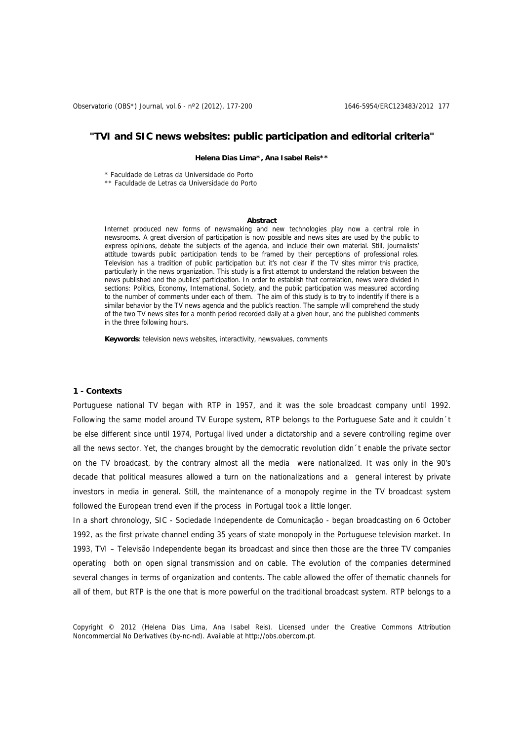# **"TVI and SIC news websites: public participation and editorial criteria"**

**Helena Dias Lima\*, Ana Isabel Reis\*\*** 

\* Faculdade de Letras da Universidade do Porto

\*\* Faculdade de Letras da Universidade do Porto

#### **Abstract**

Internet produced new forms of newsmaking and new technologies play now a central role in newsrooms. A great diversion of participation is now possible and news sites are used by the public to express opinions, debate the subjects of the agenda, and include their own material. Still, journalists' attitude towards public participation tends to be framed by their perceptions of professional roles. Television has a tradition of public participation but it's not clear if the TV sites mirror this practice, particularly in the news organization. This study is a first attempt to understand the relation between the news published and the publics' participation. In order to establish that correlation, news were divided in sections: Politics, Economy, International, Society, and the public participation was measured according to the number of comments under each of them. The aim of this study is to try to indentify if there is a similar behavior by the TV news agenda and the public's reaction. The sample will comprehend the study of the two TV news sites for a month period recorded daily at a given hour, and the published comments in the three following hours.

**Keywords**: television news websites, interactivity, newsvalues, comments

#### **1 - Contexts**

Portuguese national TV began with RTP in 1957, and it was the sole broadcast company until 1992. Following the same model around TV Europe system, RTP belongs to the Portuguese Sate and it couldn´t be else different since until 1974, Portugal lived under a dictatorship and a severe controlling regime over all the news sector. Yet, the changes brought by the democratic revolution didn´t enable the private sector on the TV broadcast, by the contrary almost all the media were nationalized. It was only in the 90's decade that political measures allowed a turn on the nationalizations and a general interest by private investors in media in general. Still, the maintenance of a monopoly regime in the TV broadcast system followed the European trend even if the process in Portugal took a little longer.

In a short chronology, SIC - Sociedade Independente de Comunicação - began broadcasting on 6 October 1992, as the first private channel ending 35 years of state monopoly in the Portuguese television market. In 1993, TVI – Televisão Independente began its broadcast and since then those are the three TV companies operating both on open signal transmission and on cable. The evolution of the companies determined several changes in terms of organization and contents. The cable allowed the offer of thematic channels for all of them, but RTP is the one that is more powerful on the traditional broadcast system. RTP belongs to a

Copyright © 2012 (Helena Dias Lima, Ana Isabel Reis). Licensed under the Creative Commons Attribution Noncommercial No Derivatives (by-nc-nd). Available at http://obs.obercom.pt.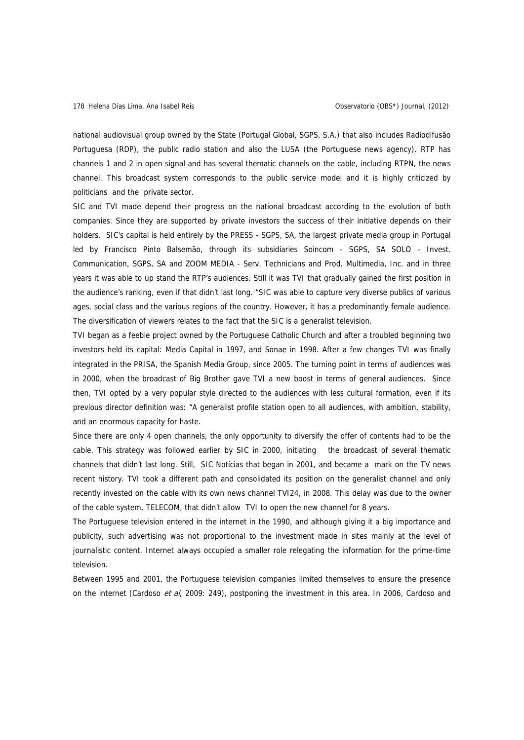national audiovisual group owned by the State (Portugal Global, SGPS, S.A.) that also includes Radiodifusão Portuguesa (RDP), the public radio station and also the LUSA (the Portuguese news agency). RTP has channels 1 and 2 in open signal and has several thematic channels on the cable, including RTPN, the news channel. This broadcast system corresponds to the public service model and it is highly criticized by politicians and the private sector.

SIC and TVI made depend their progress on the national broadcast according to the evolution of both companies. Since they are supported by private investors the success of their initiative depends on their holders. SIC's capital is held entirely by the PRESS - SGPS, SA, the largest private media group in Portugal led by Francisco Pinto Balsemão, through its subsidiaries Soincom - SGPS, SA SOLO - Invest. Communication, SGPS, SA and ZOOM MEDIA - Serv. Technicians and Prod. Multimedia, Inc. and in three years it was able to up stand the RTP's audiences. Still it was TVI that gradually gained the first position in the audience's ranking, even if that didn't last long. "SIC was able to capture very diverse publics of various ages, social class and the various regions of the country. However, it has a predominantly female audience. The diversification of viewers relates to the fact that the SIC is a generalist television.

TVI began as a feeble project owned by the Portuguese Catholic Church and after a troubled beginning two investors held its capital: Media Capital in 1997, and Sonae in 1998. After a few changes TVI was finally integrated in the PRISA, the Spanish Media Group, since 2005. The turning point in terms of audiences was in 2000, when the broadcast of Big Brother gave TVI a new boost in terms of general audiences. Since then, TVI opted by a very popular style directed to the audiences with less cultural formation, even if its previous director definition was: "A generalist profile station open to all audiences, with ambition, stability, and an enormous capacity for haste.

Since there are only 4 open channels, the only opportunity to diversify the offer of contents had to be the cable. This strategy was followed earlier by SIC in 2000, initiating the broadcast of several thematic channels that didn't last long. Still, SIC Notícias that began in 2001, and became a mark on the TV news recent history. TVI took a different path and consolidated its position on the generalist channel and only recently invested on the cable with its own news channel TVI24, in 2008. This delay was due to the owner of the cable system, TELECOM, that didn't allow TVI to open the new channel for 8 years.

The Portuguese television entered in the internet in the 1990, and although giving it a big importance and publicity, such advertising was not proportional to the investment made in sites mainly at the level of journalistic content. Internet always occupied a smaller role relegating the information for the prime-time television.

Between 1995 and 2001, the Portuguese television companies limited themselves to ensure the presence on the internet (Cardoso et al, 2009: 249), postponing the investment in this area. In 2006, Cardoso and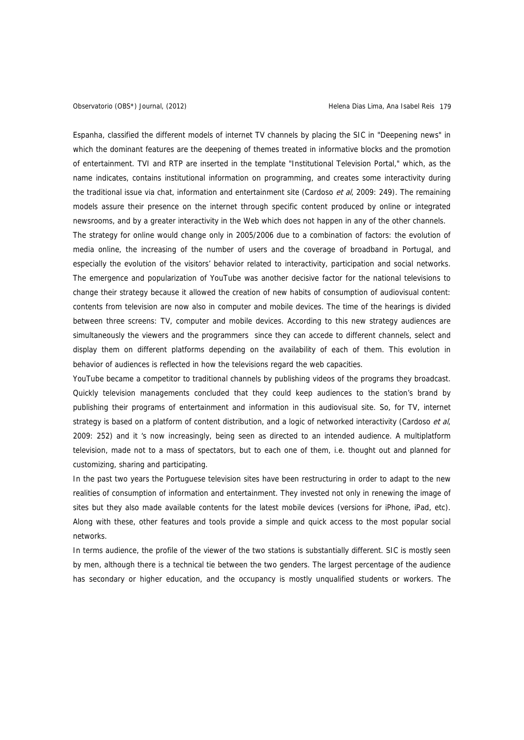Espanha, classified the different models of internet TV channels by placing the SIC in "Deepening news" in which the dominant features are the deepening of themes treated in informative blocks and the promotion of entertainment. TVI and RTP are inserted in the template "Institutional Television Portal," which, as the name indicates, contains institutional information on programming, and creates some interactivity during the traditional issue via chat, information and entertainment site (Cardoso et al, 2009: 249). The remaining models assure their presence on the internet through specific content produced by online or integrated newsrooms, and by a greater interactivity in the Web which does not happen in any of the other channels.

The strategy for online would change only in 2005/2006 due to a combination of factors: the evolution of media online, the increasing of the number of users and the coverage of broadband in Portugal, and especially the evolution of the visitors' behavior related to interactivity, participation and social networks. The emergence and popularization of YouTube was another decisive factor for the national televisions to change their strategy because it allowed the creation of new habits of consumption of audiovisual content: contents from television are now also in computer and mobile devices. The time of the hearings is divided between three screens: TV, computer and mobile devices. According to this new strategy audiences are simultaneously the viewers and the programmers since they can accede to different channels, select and display them on different platforms depending on the availability of each of them. This evolution in behavior of audiences is reflected in how the televisions regard the web capacities.

YouTube became a competitor to traditional channels by publishing videos of the programs they broadcast. Quickly television managements concluded that they could keep audiences to the station's brand by publishing their programs of entertainment and information in this audiovisual site. So, for TV, internet strategy is based on a platform of content distribution, and a logic of networked interactivity (Cardoso et al, 2009: 252) and it 's now increasingly, being seen as directed to an intended audience. A multiplatform television, made not to a mass of spectators, but to each one of them, i.e. thought out and planned for customizing, sharing and participating.

In the past two years the Portuguese television sites have been restructuring in order to adapt to the new realities of consumption of information and entertainment. They invested not only in renewing the image of sites but they also made available contents for the latest mobile devices (versions for iPhone, iPad, etc). Along with these, other features and tools provide a simple and quick access to the most popular social networks.

In terms audience, the profile of the viewer of the two stations is substantially different. SIC is mostly seen by men, although there is a technical tie between the two genders. The largest percentage of the audience has secondary or higher education, and the occupancy is mostly unqualified students or workers. The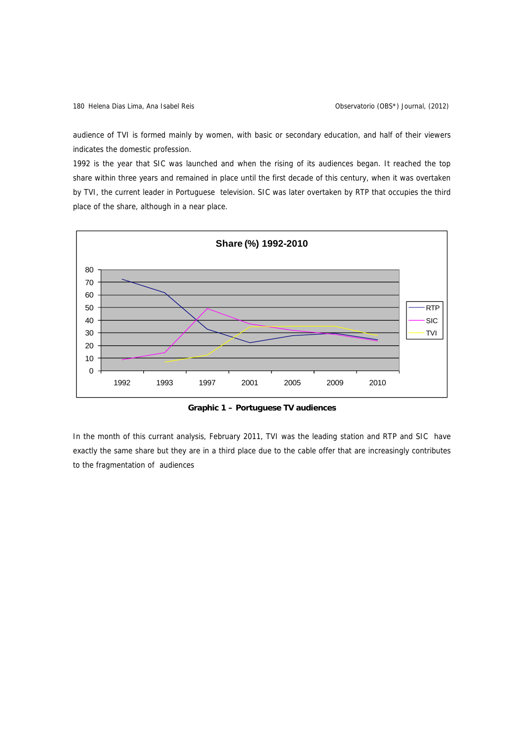audience of TVI is formed mainly by women, with basic or secondary education, and half of their viewers indicates the domestic profession.

1992 is the year that SIC was launched and when the rising of its audiences began. It reached the top share within three years and remained in place until the first decade of this century, when it was overtaken by TVI, the current leader in Portuguese television. SIC was later overtaken by RTP that occupies the third place of the share, although in a near place.



**Graphic 1 – Portuguese TV audiences** 

In the month of this currant analysis, February 2011, TVI was the leading station and RTP and SIC have exactly the same share but they are in a third place due to the cable offer that are increasingly contributes to the fragmentation of audiences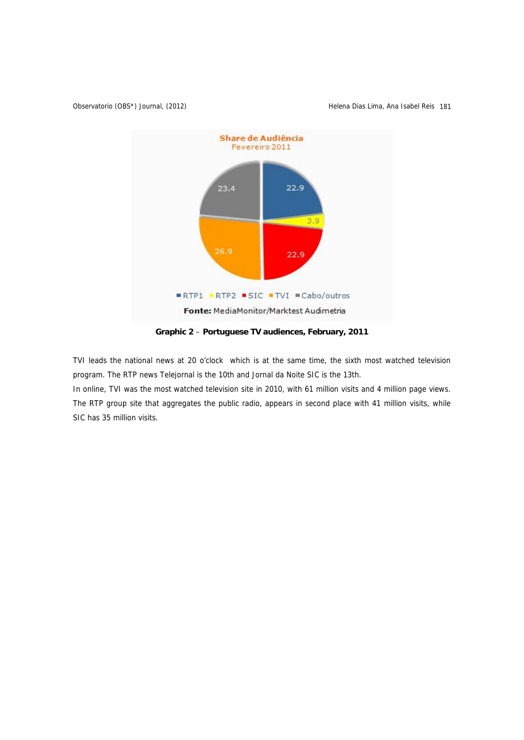```
Observatorio (OBS*) Journal, (2012) (Observatorio (OBS*) Journal, (2012)
```


**Graphic 2** – **Portuguese TV audiences, February, 2011** 

TVI leads the national news at 20 o'clock which is at the same time, the sixth most watched television program. The RTP news Telejornal is the 10th and Jornal da Noite SIC is the 13th.

In online, TVI was the most watched television site in 2010, with 61 million visits and 4 million page views. The RTP group site that aggregates the public radio, appears in second place with 41 million visits, while SIC has 35 million visits.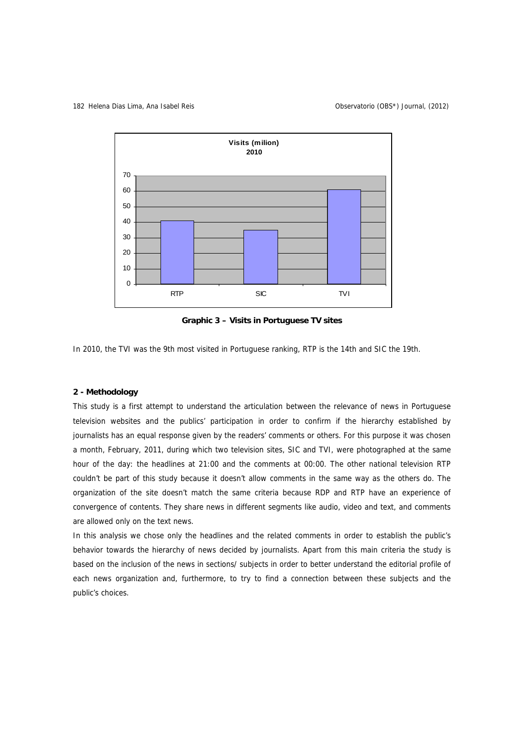

**Graphic 3 – Visits in Portuguese TV sites** 

In 2010, the TVI was the 9th most visited in Portuguese ranking, RTP is the 14th and SIC the 19th.

# **2 - Methodology**

This study is a first attempt to understand the articulation between the relevance of news in Portuguese television websites and the publics' participation in order to confirm if the hierarchy established by journalists has an equal response given by the readers' comments or others. For this purpose it was chosen a month, February, 2011, during which two television sites, SIC and TVI, were photographed at the same hour of the day: the headlines at 21:00 and the comments at 00:00. The other national television RTP couldn't be part of this study because it doesn't allow comments in the same way as the others do. The organization of the site doesn't match the same criteria because RDP and RTP have an experience of convergence of contents. They share news in different segments like audio, video and text, and comments are allowed only on the text news.

In this analysis we chose only the headlines and the related comments in order to establish the public's behavior towards the hierarchy of news decided by journalists. Apart from this main criteria the study is based on the inclusion of the news in sections/ subjects in order to better understand the editorial profile of each news organization and, furthermore, to try to find a connection between these subjects and the public's choices.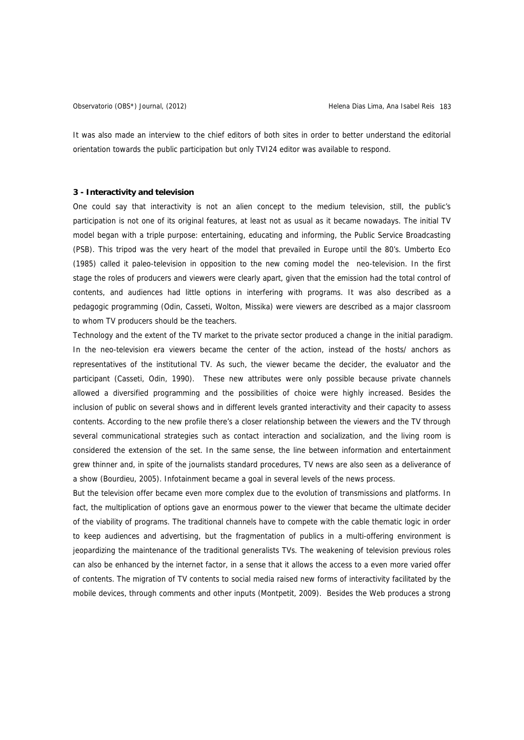It was also made an interview to the chief editors of both sites in order to better understand the editorial orientation towards the public participation but only TVI24 editor was available to respond.

#### **3 - Interactivity and television**

One could say that interactivity is not an alien concept to the medium television, still, the public's participation is not one of its original features, at least not as usual as it became nowadays. The initial TV model began with a triple purpose: entertaining, educating and informing, the Public Service Broadcasting (PSB). This tripod was the very heart of the model that prevailed in Europe until the 80's. Umberto Eco (1985) called it paleo-television in opposition to the new coming model the neo-television. In the first stage the roles of producers and viewers were clearly apart, given that the emission had the total control of contents, and audiences had little options in interfering with programs. It was also described as a pedagogic programming (Odin, Casseti, Wolton, Missika) were viewers are described as a major classroom to whom TV producers should be the teachers.

Technology and the extent of the TV market to the private sector produced a change in the initial paradigm. In the neo-television era viewers became the center of the action, instead of the hosts/ anchors as representatives of the institutional TV. As such, the viewer became the decider, the evaluator and the participant (Casseti, Odin, 1990). These new attributes were only possible because private channels allowed a diversified programming and the possibilities of choice were highly increased. Besides the inclusion of public on several shows and in different levels granted interactivity and their capacity to assess contents. According to the new profile there's a closer relationship between the viewers and the TV through several communicational strategies such as contact interaction and socialization, and the living room is considered the extension of the set. In the same sense, the line between information and entertainment grew thinner and, in spite of the journalists standard procedures, TV news are also seen as a deliverance of a show (Bourdieu, 2005). Infotainment became a goal in several levels of the news process.

But the television offer became even more complex due to the evolution of transmissions and platforms. In fact, the multiplication of options gave an enormous power to the viewer that became the ultimate decider of the viability of programs. The traditional channels have to compete with the cable thematic logic in order to keep audiences and advertising, but the fragmentation of publics in a multi-offering environment is jeopardizing the maintenance of the traditional generalists TVs. The weakening of television previous roles can also be enhanced by the internet factor, in a sense that it allows the access to a even more varied offer of contents. The migration of TV contents to social media raised new forms of interactivity facilitated by the mobile devices, through comments and other inputs (Montpetit, 2009). Besides the Web produces a strong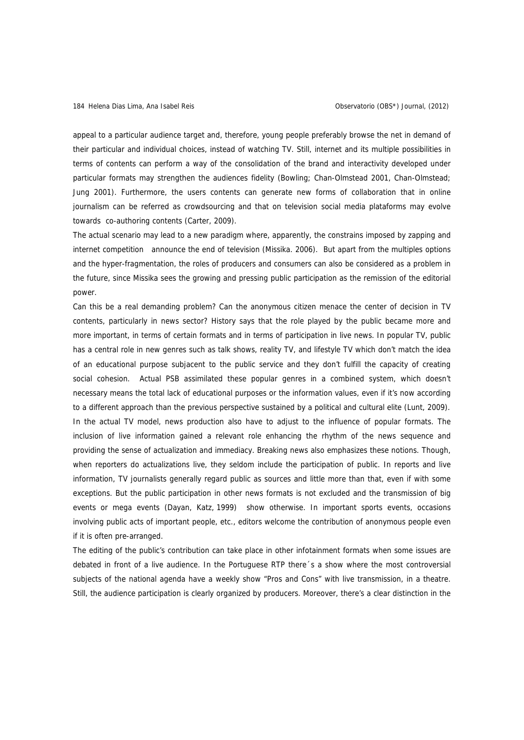appeal to a particular audience target and, therefore, young people preferably browse the net in demand of their particular and individual choices, instead of watching TV. Still, internet and its multiple possibilities in terms of contents can perform a way of the consolidation of the brand and interactivity developed under particular formats may strengthen the audiences fidelity (Bowling; Chan-Olmstead 2001, Chan-Olmstead; Jung 2001). Furthermore, the users contents can generate new forms of collaboration that in online journalism can be referred as crowdsourcing and that on television social media plataforms may evolve towards co-authoring contents (Carter, 2009).

The actual scenario may lead to a new paradigm where, apparently, the constrains imposed by zapping and internet competition announce the end of television (Missika. 2006). But apart from the multiples options and the hyper-fragmentation, the roles of producers and consumers can also be considered as a problem in the future, since Missika sees the growing and pressing public participation as the remission of the editorial power.

Can this be a real demanding problem? Can the anonymous citizen menace the center of decision in TV contents, particularly in news sector? History says that the role played by the public became more and more important, in terms of certain formats and in terms of participation in live news. In popular TV, public has a central role in new genres such as talk shows, reality TV, and lifestyle TV which don't match the idea of an educational purpose subjacent to the public service and they don't fulfill the capacity of creating social cohesion. Actual PSB assimilated these popular genres in a combined system, which doesn't necessary means the total lack of educational purposes or the information values, even if it's now according to a different approach than the previous perspective sustained by a political and cultural elite (Lunt, 2009). In the actual TV model, news production also have to adjust to the influence of popular formats. The inclusion of live information gained a relevant role enhancing the rhythm of the news sequence and providing the sense of actualization and immediacy. Breaking news also emphasizes these notions. Though, when reporters do actualizations live, they seldom include the participation of public. In reports and live information, TV journalists generally regard public as sources and little more than that, even if with some exceptions. But the public participation in other news formats is not excluded and the transmission of big events or mega events (Dayan, Katz, 1999) show otherwise. In important sports events, occasions involving public acts of important people, etc., editors welcome the contribution of anonymous people even if it is often pre-arranged.

The editing of the public's contribution can take place in other infotainment formats when some issues are debated in front of a live audience. In the Portuguese RTP there´s a show where the most controversial subjects of the national agenda have a weekly show "Pros and Cons" with live transmission, in a theatre. Still, the audience participation is clearly organized by producers. Moreover, there's a clear distinction in the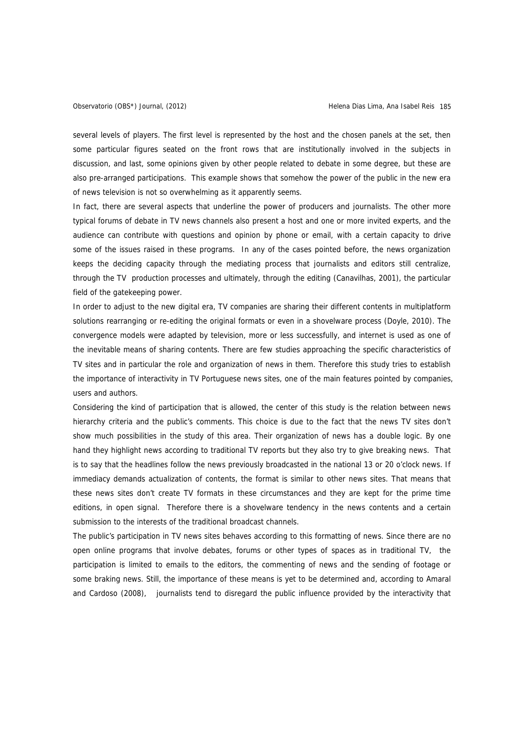several levels of players. The first level is represented by the host and the chosen panels at the set, then some particular figures seated on the front rows that are institutionally involved in the subjects in discussion, and last, some opinions given by other people related to debate in some degree, but these are also pre-arranged participations. This example shows that somehow the power of the public in the new era of news television is not so overwhelming as it apparently seems.

In fact, there are several aspects that underline the power of producers and journalists. The other more typical forums of debate in TV news channels also present a host and one or more invited experts, and the audience can contribute with questions and opinion by phone or email, with a certain capacity to drive some of the issues raised in these programs. In any of the cases pointed before, the news organization keeps the deciding capacity through the mediating process that journalists and editors still centralize, through the TV production processes and ultimately, through the editing (Canavilhas, 2001), the particular field of the gatekeeping power.

In order to adjust to the new digital era, TV companies are sharing their different contents in multiplatform solutions rearranging or re-editing the original formats or even in a shovelware process (Doyle, 2010). The convergence models were adapted by television, more or less successfully, and internet is used as one of the inevitable means of sharing contents. There are few studies approaching the specific characteristics of TV sites and in particular the role and organization of news in them. Therefore this study tries to establish the importance of interactivity in TV Portuguese news sites, one of the main features pointed by companies, users and authors.

Considering the kind of participation that is allowed, the center of this study is the relation between news hierarchy criteria and the public's comments. This choice is due to the fact that the news TV sites don't show much possibilities in the study of this area. Their organization of news has a double logic. By one hand they highlight news according to traditional TV reports but they also try to give breaking news. That is to say that the headlines follow the news previously broadcasted in the national 13 or 20 o'clock news. If immediacy demands actualization of contents, the format is similar to other news sites. That means that these news sites don't create TV formats in these circumstances and they are kept for the prime time editions, in open signal. Therefore there is a shovelware tendency in the news contents and a certain submission to the interests of the traditional broadcast channels.

The public's participation in TV news sites behaves according to this formatting of news. Since there are no open online programs that involve debates, forums or other types of spaces as in traditional TV, the participation is limited to emails to the editors, the commenting of news and the sending of footage or some braking news. Still, the importance of these means is yet to be determined and, according to Amaral and Cardoso (2008), journalists tend to disregard the public influence provided by the interactivity that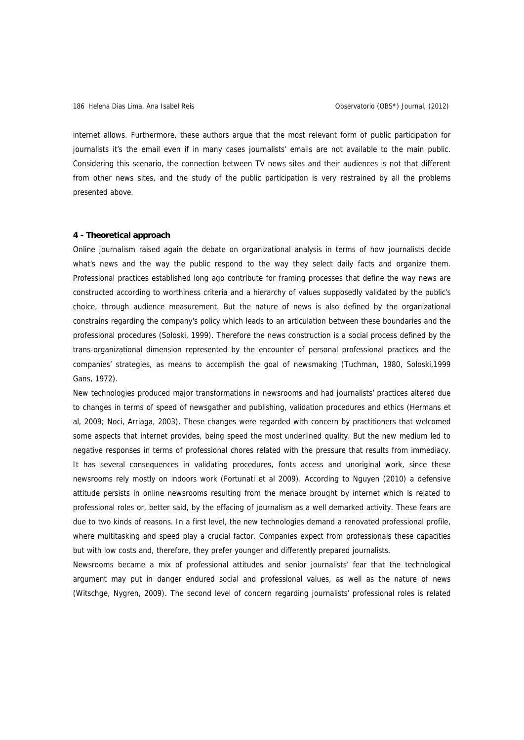internet allows. Furthermore, these authors argue that the most relevant form of public participation for journalists it's the email even if in many cases journalists' emails are not available to the main public. Considering this scenario, the connection between TV news sites and their audiences is not that different from other news sites, and the study of the public participation is very restrained by all the problems presented above.

### **4 - Theoretical approach**

Online journalism raised again the debate on organizational analysis in terms of how journalists decide what's news and the way the public respond to the way they select daily facts and organize them. Professional practices established long ago contribute for framing processes that define the way news are constructed according to worthiness criteria and a hierarchy of values supposedly validated by the public's choice, through audience measurement. But the nature of news is also defined by the organizational constrains regarding the company's policy which leads to an articulation between these boundaries and the professional procedures (Soloski, 1999). Therefore the news construction is a social process defined by the trans-organizational dimension represented by the encounter of personal professional practices and the companies' strategies, as means to accomplish the goal of newsmaking (Tuchman, 1980, Soloski,1999 Gans, 1972).

New technologies produced major transformations in newsrooms and had journalists' practices altered due to changes in terms of speed of newsgather and publishing, validation procedures and ethics (Hermans et al, 2009; Noci, Arriaga, 2003). These changes were regarded with concern by practitioners that welcomed some aspects that internet provides, being speed the most underlined quality. But the new medium led to negative responses in terms of professional chores related with the pressure that results from immediacy. It has several consequences in validating procedures, fonts access and unoriginal work, since these newsrooms rely mostly on indoors work (Fortunati et al 2009). According to Nguyen (2010) a defensive attitude persists in online newsrooms resulting from the menace brought by internet which is related to professional roles or, better said, by the effacing of journalism as a well demarked activity. These fears are due to two kinds of reasons. In a first level, the new technologies demand a renovated professional profile, where multitasking and speed play a crucial factor. Companies expect from professionals these capacities but with low costs and, therefore, they prefer younger and differently prepared journalists.

Newsrooms became a mix of professional attitudes and senior journalists' fear that the technological argument may put in danger endured social and professional values, as well as the nature of news (Witschge, Nygren, 2009). The second level of concern regarding journalists' professional roles is related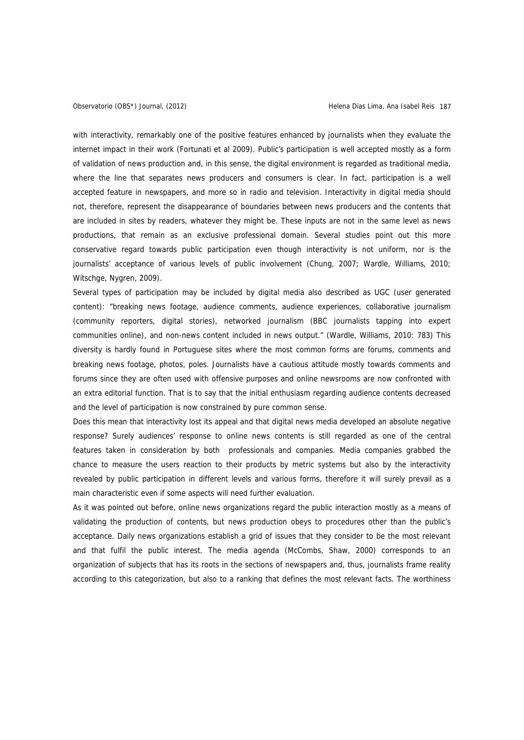with interactivity, remarkably one of the positive features enhanced by journalists when they evaluate the internet impact in their work (Fortunati et al 2009). Public's participation is well accepted mostly as a form of validation of news production and, in this sense, the digital environment is regarded as traditional media, where the line that separates news producers and consumers is clear. In fact, participation is a well accepted feature in newspapers, and more so in radio and television. Interactivity in digital media should not, therefore, represent the disappearance of boundaries between news producers and the contents that are included in sites by readers, whatever they might be. These inputs are not in the same level as news productions, that remain as an exclusive professional domain. Several studies point out this more conservative regard towards public participation even though interactivity is not uniform, nor is the journalists' acceptance of various levels of public involvement (Chung, 2007; Wardle, Williams, 2010; Witschge, Nygren, 2009).

Several types of participation may be included by digital media also described as UGC (user generated content): "breaking news footage, audience comments, audience experiences, collaborative journalism (community reporters, digital stories), networked journalism (BBC journalists tapping into expert communities online), and non-news content included in news output." (Wardle, Williams, 2010: 783) This diversity is hardly found in Portuguese sites where the most common forms are forums, comments and breaking news footage, photos, poles. Journalists have a cautious attitude mostly towards comments and forums since they are often used with offensive purposes and online newsrooms are now confronted with an extra editorial function. That is to say that the initial enthusiasm regarding audience contents decreased and the level of participation is now constrained by pure common sense.

Does this mean that interactivity lost its appeal and that digital news media developed an absolute negative response? Surely audiences' response to online news contents is still regarded as one of the central features taken in consideration by both professionals and companies. Media companies grabbed the chance to measure the users reaction to their products by metric systems but also by the interactivity revealed by public participation in different levels and various forms, therefore it will surely prevail as a main characteristic even if some aspects will need further evaluation.

As it was pointed out before, online news organizations regard the public interaction mostly as a means of validating the production of contents, but news production obeys to procedures other than the public's acceptance. Daily news organizations establish a grid of issues that they consider to be the most relevant and that fulfil the public interest. The media agenda (McCombs, Shaw, 2000) corresponds to an organization of subjects that has its roots in the sections of newspapers and, thus, journalists frame reality according to this categorization, but also to a ranking that defines the most relevant facts. The worthiness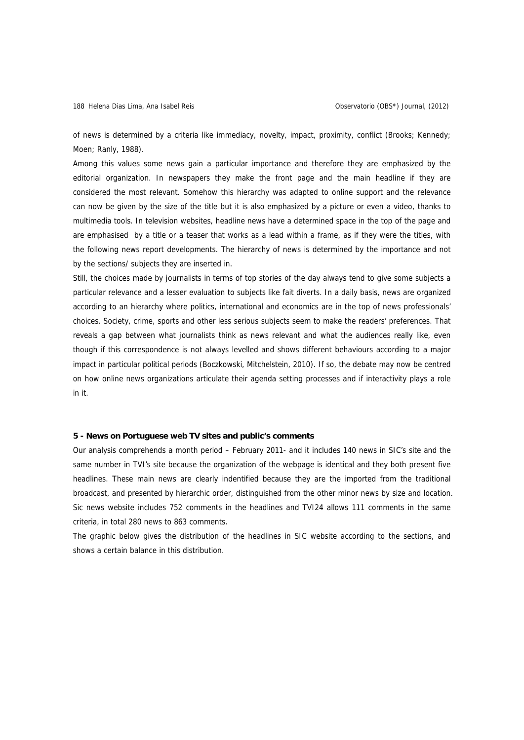of news is determined by a criteria like immediacy, novelty, impact, proximity, conflict (Brooks; Kennedy; Moen; Ranly, 1988).

Among this values some news gain a particular importance and therefore they are emphasized by the editorial organization. In newspapers they make the front page and the main headline if they are considered the most relevant. Somehow this hierarchy was adapted to online support and the relevance can now be given by the size of the title but it is also emphasized by a picture or even a video, thanks to multimedia tools. In television websites, headline news have a determined space in the top of the page and are emphasised by a title or a teaser that works as a lead within a frame, as if they were the titles, with the following news report developments. The hierarchy of news is determined by the importance and not by the sections/ subjects they are inserted in.

Still, the choices made by journalists in terms of top stories of the day always tend to give some subjects a particular relevance and a lesser evaluation to subjects like fait diverts. In a daily basis, news are organized according to an hierarchy where politics, international and economics are in the top of news professionals' choices. Society, crime, sports and other less serious subjects seem to make the readers' preferences. That reveals a gap between what journalists think as news relevant and what the audiences really like, even though if this correspondence is not always levelled and shows different behaviours according to a major impact in particular political periods (Boczkowski, Mitchelstein, 2010). If so, the debate may now be centred on how online news organizations articulate their agenda setting processes and if interactivity plays a role in it.

#### **5 - News on Portuguese web TV sites and public's comments**

Our analysis comprehends a month period – February 2011- and it includes 140 news in SIC's site and the same number in TVI's site because the organization of the webpage is identical and they both present five headlines. These main news are clearly indentified because they are the imported from the traditional broadcast, and presented by hierarchic order, distinguished from the other minor news by size and location. Sic news website includes 752 comments in the headlines and TVI24 allows 111 comments in the same criteria, in total 280 news to 863 comments.

The graphic below gives the distribution of the headlines in SIC website according to the sections, and shows a certain balance in this distribution.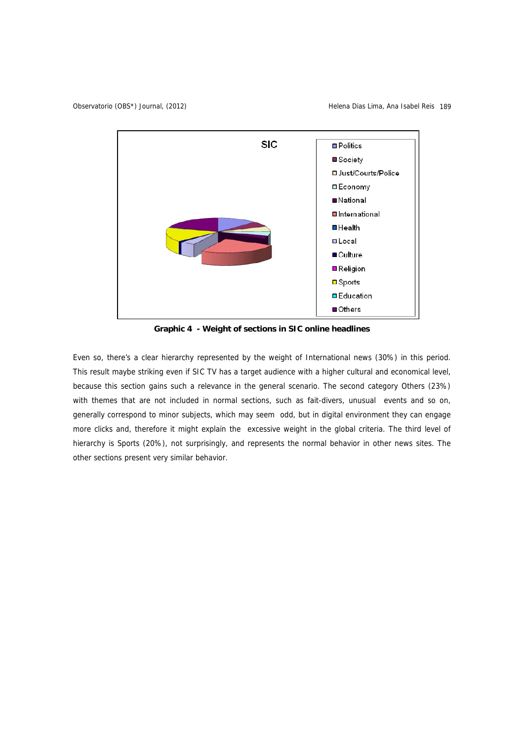Observatorio (OBS\*) Journal, (2012) Helena Dias Lima, Ana Isabel Reis 189



**Graphic 4 - Weight of sections in SIC online headlines** 

Even so, there's a clear hierarchy represented by the weight of International news (30%) in this period. This result maybe striking even if SIC TV has a target audience with a higher cultural and economical level, because this section gains such a relevance in the general scenario. The second category Others (23%) with themes that are not included in normal sections, such as fait-divers, unusual events and so on, generally correspond to minor subjects, which may seem odd, but in digital environment they can engage more clicks and, therefore it might explain the excessive weight in the global criteria. The third level of hierarchy is Sports (20%), not surprisingly, and represents the normal behavior in other news sites. The other sections present very similar behavior.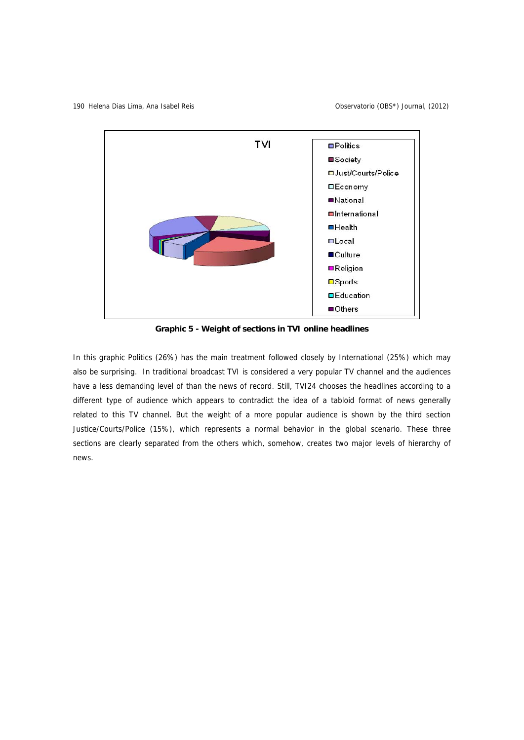

**Graphic 5 - Weight of sections in TVI online headlines** 

In this graphic Politics (26%) has the main treatment followed closely by International (25%) which may also be surprising. In traditional broadcast TVI is considered a very popular TV channel and the audiences have a less demanding level of than the news of record. Still, TVI24 chooses the headlines according to a different type of audience which appears to contradict the idea of a tabloid format of news generally related to this TV channel. But the weight of a more popular audience is shown by the third section Justice/Courts/Police (15%), which represents a normal behavior in the global scenario. These three sections are clearly separated from the others which, somehow, creates two major levels of hierarchy of news.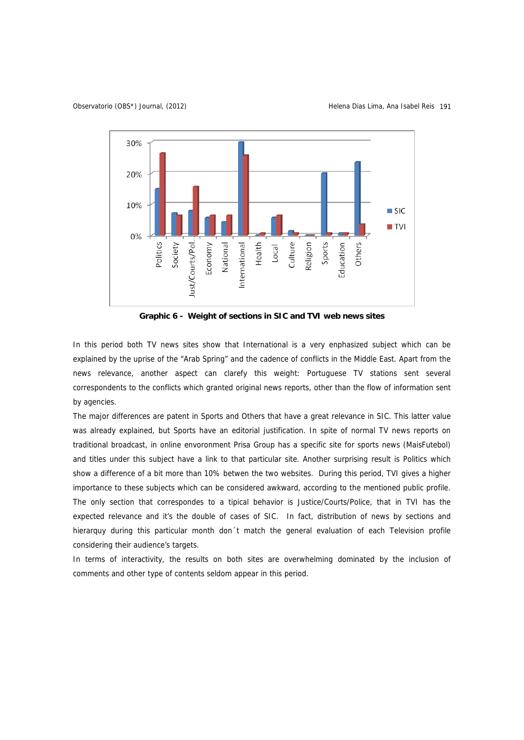Observatorio (OBS\*) Journal, (2012) Helena Dias Lima, Ana Isabel Reis 191



**Graphic 6 - Weight of sections in SIC and TVI web news sites** 

In this period both TV news sites show that International is a very enphasized subject which can be explained by the uprise of the "Arab Spring" and the cadence of conflicts in the Middle East. Apart from the news relevance, another aspect can clarefy this weight: Portuguese TV stations sent several correspondents to the conflicts which granted original news reports, other than the flow of information sent by agencies.

The major differences are patent in Sports and Others that have a great relevance in SIC. This latter value was already explained, but Sports have an editorial justification. In spite of normal TV news reports on traditional broadcast, in online envoronment Prisa Group has a specific site for sports news (MaisFutebol) and titles under this subject have a link to that particular site. Another surprising result is Politics which show a difference of a bit more than 10% betwen the two websites. During this period, TVI gives a higher importance to these subjects which can be considered awkward, according to the mentioned public profile. The only section that correspondes to a tipical behavior is Justice/Courts/Police, that in TVI has the expected relevance and it's the double of cases of SIC. In fact, distribution of news by sections and hierarquy during this particular month don´t match the general evaluation of each Television profile considering their audience's targets.

In terms of interactivity, the results on both sites are overwhelming dominated by the inclusion of comments and other type of contents seldom appear in this period.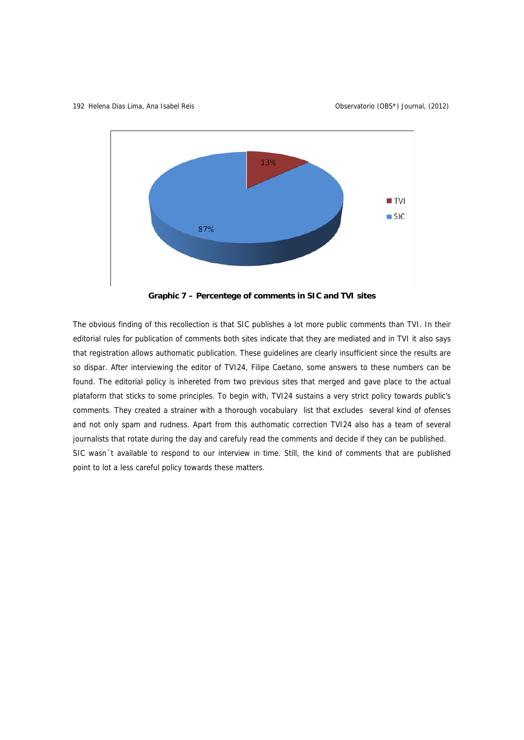

**Graphic 7 – Percentege of comments in SIC and TVI sites** 

The obvious finding of this recollection is that SIC publishes a lot more public comments than TVI. In their editorial rules for publication of comments both sites indicate that they are mediated and in TVI it also says that registration allows authomatic publication. These guidelines are clearly insufficient since the results are so dispar. After interviewing the editor of TVI24, Filipe Caetano, some answers to these numbers can be found. The editorial policy is inhereted from two previous sites that merged and gave place to the actual plataform that sticks to some principles. To begin with, TVI24 sustains a very strict policy towards public's comments. They created a strainer with a thorough vocabulary list that excludes several kind of ofenses and not only spam and rudness. Apart from this authomatic correction TVI24 also has a team of several journalists that rotate during the day and carefuly read the comments and decide if they can be published. SIC wasn´t available to respond to our interview in time. Still, the kind of comments that are published point to lot a less careful policy towards these matters.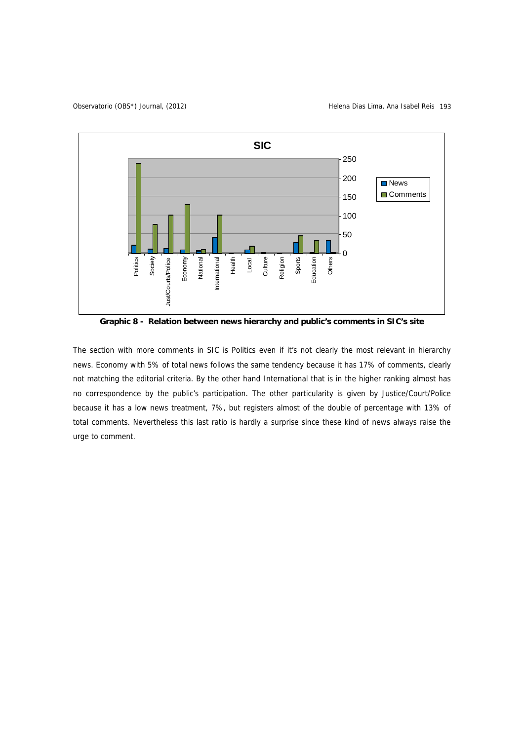

**Graphic 8 - Relation between news hierarchy and public's comments in SIC's site**

The section with more comments in SIC is Politics even if it's not clearly the most relevant in hierarchy news. Economy with 5% of total news follows the same tendency because it has 17% of comments, clearly not matching the editorial criteria. By the other hand International that is in the higher ranking almost has no correspondence by the public's participation. The other particularity is given by Justice/Court/Police because it has a low news treatment, 7%, but registers almost of the double of percentage with 13% of total comments. Nevertheless this last ratio is hardly a surprise since these kind of news always raise the urge to comment.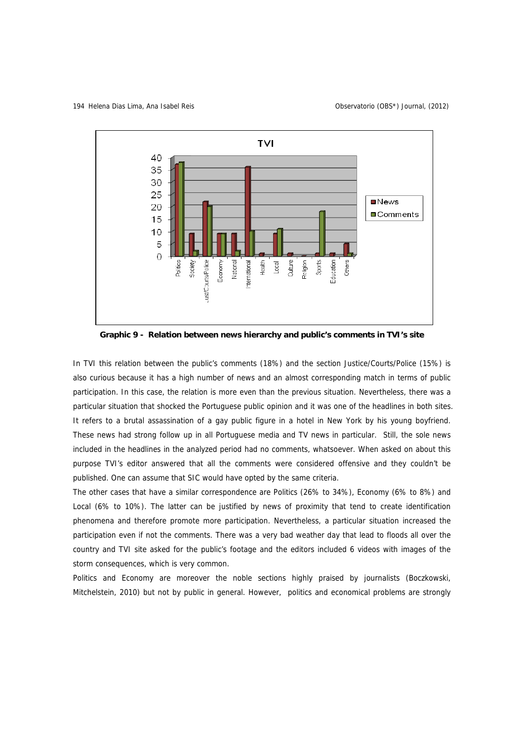194 Helena Dias Lima, Ana Isabel Reis 194 Observatorio (OBS\*) Journal, (2012)



**Graphic 9 - Relation between news hierarchy and public's comments in TVI's site** 

In TVI this relation between the public's comments (18%) and the section Justice/Courts/Police (15%) is also curious because it has a high number of news and an almost corresponding match in terms of public participation. In this case, the relation is more even than the previous situation. Nevertheless, there was a particular situation that shocked the Portuguese public opinion and it was one of the headlines in both sites. It refers to a brutal assassination of a gay public figure in a hotel in New York by his young boyfriend. These news had strong follow up in all Portuguese media and TV news in particular. Still, the sole news included in the headlines in the analyzed period had no comments, whatsoever. When asked on about this purpose TVI's editor answered that all the comments were considered offensive and they couldn't be published. One can assume that SIC would have opted by the same criteria.

The other cases that have a similar correspondence are Politics (26% to 34%), Economy (6% to 8%) and Local (6% to 10%). The latter can be justified by news of proximity that tend to create identification phenomena and therefore promote more participation. Nevertheless, a particular situation increased the participation even if not the comments. There was a very bad weather day that lead to floods all over the country and TVI site asked for the public's footage and the editors included 6 videos with images of the storm consequences, which is very common.

Politics and Economy are moreover the noble sections highly praised by journalists (Boczkowski, Mitchelstein, 2010) but not by public in general. However, politics and economical problems are strongly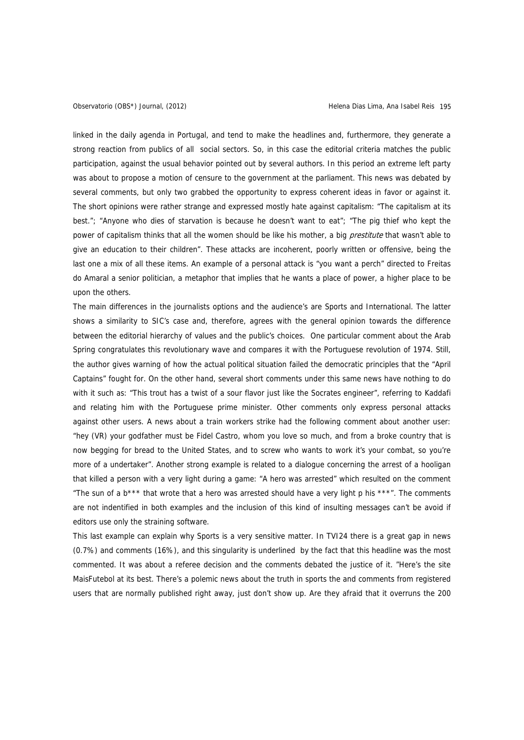linked in the daily agenda in Portugal, and tend to make the headlines and, furthermore, they generate a strong reaction from publics of all social sectors. So, in this case the editorial criteria matches the public participation, against the usual behavior pointed out by several authors. In this period an extreme left party was about to propose a motion of censure to the government at the parliament. This news was debated by several comments, but only two grabbed the opportunity to express coherent ideas in favor or against it. The short opinions were rather strange and expressed mostly hate against capitalism: "The capitalism at its best."; "Anyone who dies of starvation is because he doesn't want to eat"; "The pig thief who kept the power of capitalism thinks that all the women should be like his mother, a big prestitute that wasn't able to give an education to their children". These attacks are incoherent, poorly written or offensive, being the last one a mix of all these items. An example of a personal attack is "you want a perch" directed to Freitas do Amaral a senior politician, a metaphor that implies that he wants a place of power, a higher place to be upon the others.

The main differences in the journalists options and the audience's are Sports and International. The latter shows a similarity to SIC's case and, therefore, agrees with the general opinion towards the difference between the editorial hierarchy of values and the public's choices. One particular comment about the Arab Spring congratulates this revolutionary wave and compares it with the Portuguese revolution of 1974. Still, the author gives warning of how the actual political situation failed the democratic principles that the "April Captains" fought for. On the other hand, several short comments under this same news have nothing to do with it such as: "This trout has a twist of a sour flavor just like the Socrates engineer", referring to Kaddafi and relating him with the Portuguese prime minister. Other comments only express personal attacks against other users. A news about a train workers strike had the following comment about another user: "hey (VR) your godfather must be Fidel Castro, whom you love so much, and from a broke country that is now begging for bread to the United States, and to screw who wants to work it's your combat, so you're more of a undertaker". Another strong example is related to a dialogue concerning the arrest of a hooligan that killed a person with a very light during a game: "A hero was arrested" which resulted on the comment "The sun of a b\*\*\* that wrote that a hero was arrested should have a very light p his \*\*\*". The comments are not indentified in both examples and the inclusion of this kind of insulting messages can't be avoid if editors use only the straining software.

This last example can explain why Sports is a very sensitive matter. In TVI24 there is a great gap in news (0.7%) and comments (16%), and this singularity is underlined by the fact that this headline was the most commented. It was about a referee decision and the comments debated the justice of it. "Here's the site MaisFutebol at its best. There's a polemic news about the truth in sports the and comments from registered users that are normally published right away, just don't show up. Are they afraid that it overruns the 200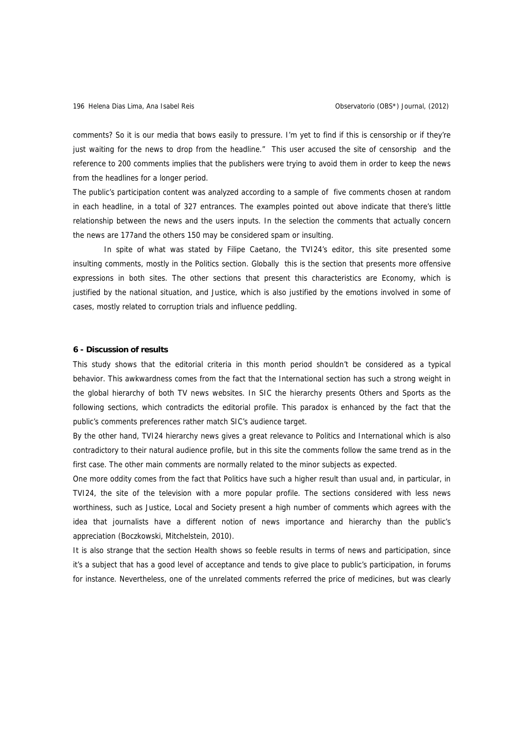comments? So it is our media that bows easily to pressure. I'm yet to find if this is censorship or if they're just waiting for the news to drop from the headline." This user accused the site of censorship and the reference to 200 comments implies that the publishers were trying to avoid them in order to keep the news from the headlines for a longer period.

The public's participation content was analyzed according to a sample of five comments chosen at random in each headline, in a total of 327 entrances. The examples pointed out above indicate that there's little relationship between the news and the users inputs. In the selection the comments that actually concern the news are 177and the others 150 may be considered spam or insulting.

In spite of what was stated by Filipe Caetano, the TVI24's editor, this site presented some insulting comments, mostly in the Politics section. Globally this is the section that presents more offensive expressions in both sites. The other sections that present this characteristics are Economy, which is justified by the national situation, and Justice, which is also justified by the emotions involved in some of cases, mostly related to corruption trials and influence peddling.

#### **6 - Discussion of results**

This study shows that the editorial criteria in this month period shouldn't be considered as a typical behavior. This awkwardness comes from the fact that the International section has such a strong weight in the global hierarchy of both TV news websites. In SIC the hierarchy presents Others and Sports as the following sections, which contradicts the editorial profile. This paradox is enhanced by the fact that the public's comments preferences rather match SIC's audience target.

By the other hand, TVI24 hierarchy news gives a great relevance to Politics and International which is also contradictory to their natural audience profile, but in this site the comments follow the same trend as in the first case. The other main comments are normally related to the minor subjects as expected.

One more oddity comes from the fact that Politics have such a higher result than usual and, in particular, in TVI24, the site of the television with a more popular profile. The sections considered with less news worthiness, such as Justice, Local and Society present a high number of comments which agrees with the idea that journalists have a different notion of news importance and hierarchy than the public's appreciation (Boczkowski, Mitchelstein, 2010).

It is also strange that the section Health shows so feeble results in terms of news and participation, since it's a subject that has a good level of acceptance and tends to give place to public's participation, in forums for instance. Nevertheless, one of the unrelated comments referred the price of medicines, but was clearly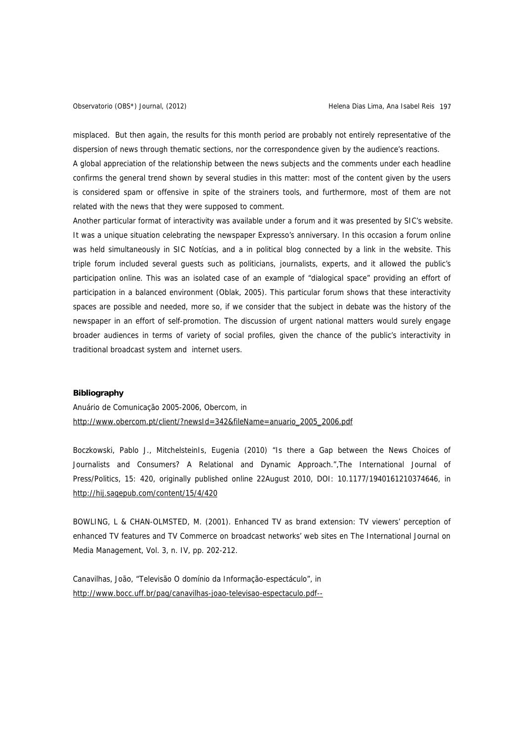misplaced. But then again, the results for this month period are probably not entirely representative of the dispersion of news through thematic sections, nor the correspondence given by the audience's reactions.

A global appreciation of the relationship between the news subjects and the comments under each headline confirms the general trend shown by several studies in this matter: most of the content given by the users is considered spam or offensive in spite of the strainers tools, and furthermore, most of them are not related with the news that they were supposed to comment.

Another particular format of interactivity was available under a forum and it was presented by SIC's website. It was a unique situation celebrating the newspaper Expresso's anniversary. In this occasion a forum online was held simultaneously in SIC Notícias, and a in political blog connected by a link in the website. This triple forum included several guests such as politicians, journalists, experts, and it allowed the public's participation online. This was an isolated case of an example of "dialogical space" providing an effort of participation in a balanced environment (Oblak, 2005). This particular forum shows that these interactivity spaces are possible and needed, more so, if we consider that the subject in debate was the history of the newspaper in an effort of self-promotion. The discussion of urgent national matters would surely engage broader audiences in terms of variety of social profiles, given the chance of the public's interactivity in traditional broadcast system and internet users.

## **Bibliography**

Anuário de Comunicação 2005-2006, Obercom, in [http://www.obercom.pt/client/?newsId=342&fileName=anuario\\_2005\\_2006.pdf](http://www.obercom.pt/client/?newsId=342&fileName=anuario_2005_2006.pdf)

Boczkowski, Pablo J., MitchelsteinIs, Eugenia (2010) "Is there a Gap between the News Choices of Journalists and Consumers? A Relational and Dynamic Approach.",The International Journal of Press/Politics, 15: 420, originally published online 22August 2010, DOI: 10.1177/1940161210374646, in <http://hij.sagepub.com/content/15/4/420>

BOWLING, L & CHAN-OLMSTED, M. (2001). Enhanced TV as brand extension: TV viewers' perception of enhanced TV features and TV Commerce on broadcast networks' web sites en The International Journal on Media Management, Vol. 3, n. IV, pp. 202-212.

Canavilhas, João, "Televisão O domínio da Informação-espectáculo", in <http://www.bocc.uff.br/pag/canavilhas-joao-televisao-espectaculo.pdf-->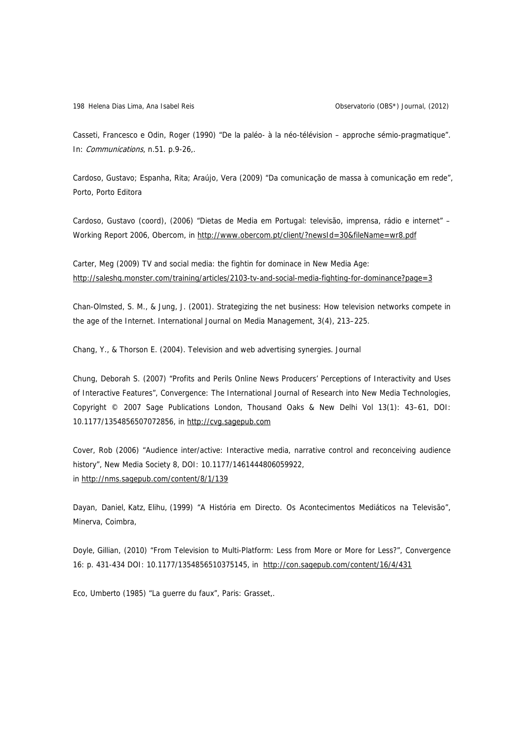Casseti, Francesco e Odin, Roger (1990) "De la paléo- à la néo-télévision – approche sémio-pragmatique". In: Communications, n.51. p.9-26,.

Cardoso, Gustavo; Espanha, Rita; Araújo, Vera (2009) "Da comunicação de massa à comunicação em rede", Porto, Porto Editora

Cardoso, Gustavo (coord), (2006) "Dietas de Media em Portugal: televisão, imprensa, rádio e internet" – Working Report 2006, Obercom, in<http://www.obercom.pt/client/?newsId=30&fileName=wr8.pdf>

Carter, Meg (2009) TV and social media: the fightin for dominace in New Media Age: <http://saleshq.monster.com/training/articles/2103-tv-and-social-media-fighting-for-dominance?page=3>

Chan-Olmsted, S. M., & Jung, J. (2001). Strategizing the net business: How television networks compete in the age of the Internet. International Journal on Media Management, 3(4), 213–225.

Chang, Y., & Thorson E. (2004). Television and web advertising synergies. Journal

Chung, Deborah S. (2007) "Profits and Perils Online News Producers' Perceptions of Interactivity and Uses of Interactive Features", Convergence: The International Journal of Research into New Media Technologies, Copyright © 2007 Sage Publications London, Thousand Oaks & New Delhi Vol 13(1): 43–61, DOI: 10.1177/1354856507072856, in [http://cvg.sagepub.com](http://cvg.sagepub.com/)

Cover, Rob (2006) "Audience inter/active: Interactive media, narrative control and reconceiving audience history", New Media Society 8, DOI: 10.1177/1461444806059922, in <http://nms.sagepub.com/content/8/1/139>

Dayan, Daniel, Katz, Elihu, (1999) "A História em Directo. Os Acontecimentos Mediáticos na Televisão", Minerva, Coimbra,

Doyle, Gillian, (2010) "From Television to Multi-Platform: Less from More or More for Less?", Convergence 16: p. 431-434 DOI: 10.1177/1354856510375145, in <http://con.sagepub.com/content/16/4/431>

Eco, Umberto (1985) "La guerre du faux", Paris: Grasset,.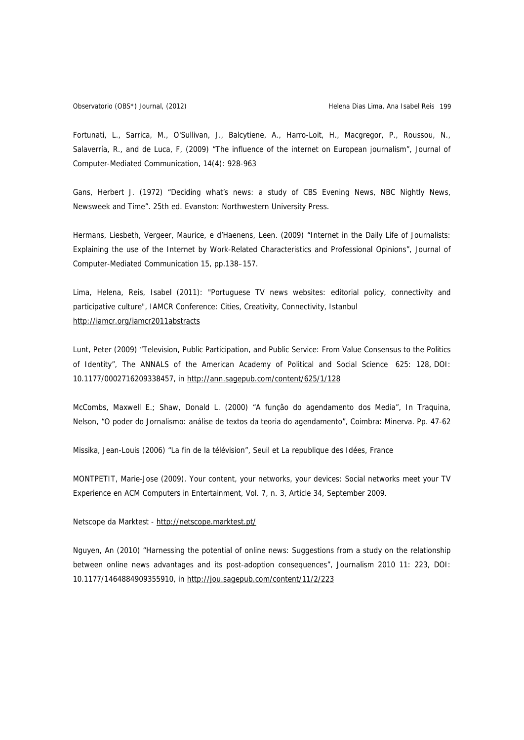Fortunati, L., Sarrica, M., O'Sullivan, J., Balcytiene, A., Harro-Loit, H., Macgregor, P., Roussou, N., Salaverría, R., and de Luca, F, (2009) "The influence of the internet on European journalism", Journal of Computer-Mediated Communication, 14(4): 928-963

Gans, Herbert J. (1972) "Deciding what's news: a study of CBS Evening News, NBC Nightly News, Newsweek and Time". 25th ed. Evanston: Northwestern University Press.

Hermans, Liesbeth, Vergeer, Maurice, e d'Haenens, Leen. (2009) "Internet in the Daily Life of Journalists: Explaining the use of the Internet by Work-Related Characteristics and Professional Opinions", Journal of Computer-Mediated Communication 15, pp.138–157.

Lima, Helena, Reis, Isabel (2011): "Portuguese TV news websites: editorial policy, connectivity and participative culture", IAMCR Conference: Cities, Creativity, Connectivity, Istanbul <http://iamcr.org/iamcr2011abstracts>

Lunt, Peter (2009) "Television, Public Participation, and Public Service: From Value Consensus to the Politics of Identity", The ANNALS of the American Academy of Political and Social Science 625: 128, DOI: 10.1177/0002716209338457, in <http://ann.sagepub.com/content/625/1/128>

McCombs, Maxwell E.; Shaw, Donald L. (2000) "A função do agendamento dos Media", In Traquina, Nelson, "O poder do Jornalismo: análise de textos da teoria do agendamento", Coimbra: Minerva. Pp. 47-62

Missika, Jean-Louis (2006) "La fin de la télévision", Seuil et La republique des Idées, France

MONTPETIT, Marie-Jose (2009). Your content, your networks, your devices: Social networks meet your TV Experience en ACM Computers in Entertainment, Vol. 7, n. 3, Article 34, September 2009.

Netscope da Marktest - <http://netscope.marktest.pt/>

Nguyen, An (2010) "Harnessing the potential of online news: Suggestions from a study on the relationship between online news advantages and its post-adoption consequences", Journalism 2010 11: 223, DOI: 10.1177/1464884909355910, in <http://jou.sagepub.com/content/11/2/223>